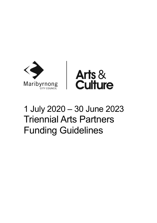

# 1 July 2020 – 30 June 2023 Triennial Arts Partners Funding Guidelines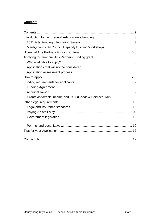# <span id="page-1-0"></span>**Contents**

<span id="page-1-1"></span>

| Maribyrnong City Council Capacity Building Workshops 3 |  |
|--------------------------------------------------------|--|
|                                                        |  |
|                                                        |  |
|                                                        |  |
|                                                        |  |
|                                                        |  |
|                                                        |  |
|                                                        |  |
|                                                        |  |
|                                                        |  |
|                                                        |  |
|                                                        |  |
|                                                        |  |
|                                                        |  |
|                                                        |  |
|                                                        |  |
|                                                        |  |
|                                                        |  |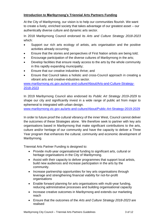# **Introduction to Maribyrnong's Triennial Arts Partners Funding**

At the City of Maribyrnong, our vision is to help our communities flourish. We want to create a lively, enriched society that takes advantage of our greatest asset – our authentically diverse culture and dynamic arts sector.

In 2018 Maribyrnong Council endorsed its *Arts and Culture Strategy 2018-2023* which:

- Support our rich arts ecology of artists, arts organisation and the positive activities already occurring;
- Ensure that the stories and perspectives of First Nation artists are being told;
- Encourage participation of the diverse cultures of Maribyrnong in the arts;
- Develop facilities that ensure ready access to the arts by the whole community in this rapidly expanding municipality;
- Ensure that our creative industries thrive; and
- Ensure that Council takes a holistic and cross-Council approach in creating a vibrant arts and creative-industries sector.

[www.maribyrnong.vic.gov.au/arts-and-culture/About/Arts-and-Culture-Strategy-](http://www.maribyrnong.vic.gov.au/arts-and-culture/About/Arts-and-Culture-Strategy-2018-2023)[2018-2023](http://www.maribyrnong.vic.gov.au/arts-and-culture/About/Arts-and-Culture-Strategy-2018-2023)

In 2019 Maribyrnong Council also endorsed its *Public Art Strategy 2019-2029* to shape our city and significantly invest in a wide range of public art from major to ephemeral to integrated with urban design.

[www.maribyrnong.vic.gov.au/arts-and-culture/About/Public-Art-Strategy-2019-2029](http://www.maribyrnong.vic.gov.au/arts-and-culture/About/Public-Art-Strategy-2019-2029)

In order to future proof the cultural vibrancy of the inner West, Council cannot deliver the outcomes of these Strategies alone. We therefore seek to partner with key arts organisations based in Maribyrnong that make significant contributions to the arts, culture and/or heritage of our community and have the capacity to deliver a Three Year program that enhances the cultural, community and economic development of Maribyrnong.

Triennial Arts Partner Funding is designed to:

- Provide multi-year organisational funding to significant arts, cultural or heritage organisations in the City of Maribyrnong.
- Assist with their capacity to deliver programmes that support local artists, build new audiences and increase participation in the arts by the community.
- Increase partnership opportunities for key arts organisations through leverage and strengthening financial viability for not-for-profit organisations
- Enable forward planning for arts organisations with multi-year funding, reducing administrative processes and building organisational capacity
- Increase creative outcomes in Maribyrnong and extends our marketing reach
- Ensure that the outcomes of the *Arts and Culture Strategy 2018-2023* are realised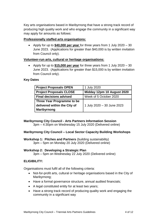Key arts organisations based in Maribyrnong that have a strong track record of producing high quality work and who engage the community in a significant way may apply for amounts as follows:

# **Professionally staffed arts organisations:**

 Apply for up to **\$40,000 per year** for three years from 1 July 2020 – 30 June 2023. (Applications for greater than \$40,000 is by written invitation from Council only).

## **Volunteer-run arts, cultural or heritage organisations:**

 Apply for up to **\$15,000 per year** for three years from 1 July 2020 – 30 June 2023. (Applications for greater than \$15,000 is by written invitation from Council only).

# <span id="page-3-0"></span>**Key Dates**

| <b>Project Proposals OPEN</b>  | 1 July 2020                |  |
|--------------------------------|----------------------------|--|
| <b>Project Proposals CLOSE</b> | Midday 12pm 10 August 2020 |  |
| <b>Final decisions advised</b> | Week of 5 October 2020     |  |
| Three Year Programme to be     |                            |  |
| delivered within the City of   | 1 July 2020 - 30 June 2023 |  |
| <b>Maribyrnong</b>             |                            |  |

# **Maribyrnong City Council - Arts Partners Information Session**

3pm – 4:30pm on Wednesday 15 July 2020 (Delivered online)

## <span id="page-3-1"></span>**Maribyrnong City Council – Local Sector Capacity Building Workshops**

**Workshop 1: Pitches and Partners** (building sustainability) 3pm – 5pm on Monday 20 July 2020 (Delivered online)

## **Workshop 2: Developing a Strategic Plan**

3pm – 5pm on Wednesday 22 July 2020 (Delivered online)

## **ELIGIBILITY:**

Organisations must fulfil all of the following criteria:

- Not-for-profit arts, cultural or heritage organisations based in the City of Maribyrnong;
- Have a formal governance structure, annual audited financials;
- A legal constituted entity for at least two years;
- Have a strong track record of producing quality work and engaging the community in a significant way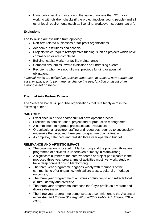Have public liability insurance to the value of no less than \$20million, working with children checks (if the project involves young people) and all other legal requirements (such as licencing, workcover, superannuation).

# **Exclusions**

The following are excluded from applying:

- Non-arts-related businesses or for-profit organisations
- Academic institutions and schools:
- Projects which require retrospective funding, such as projects which have commenced or are completed
- Building, capital works\* or facility maintenance
- Competitions, prizes, award exhibitions or fundraising events
- Recipients who have not fully met previous funding or acquittal obligations.

*\* Capital works are defined as projects undertaken to create a new permanent asset or space, or to permanently change the use, function or layout of an existing asset or space.*

# <span id="page-4-0"></span>**Triennial Arts Partner Criteria**

The Selection Panel will prioritise organisations that rate highly across the following criteria:

## **CAPACITY**

- Excellence in artistic and/or cultural development practice;
- Proficient in administration, project and/or production management;
- A commitment to rigorous processes and evaluation;
- Organisational structure, staffing and resources required to successfully undertake the proposed three year programme of activities; and
- A complete, balanced, and realistic three year operating budget.

## **RELEVANCE AND ARTISTIC IMPACT**

- The organisation is located in Maribyrnong and the proposed three year programme of activities is undertaken primarily in Maribyrnong
- A significant number of the creative teams or project participants in the proposed three year programme of activities must live, work, study or have deep connections to Maribyrnong;
- The three year programme engages widely with members of the community to offer engaging, high calibre artistic, cultural or heritage outcomes;
- The three year programme of activities contributes to and reflects local culture, identity and diversity;
- The three year programme increases the City's profile as a vibrant and diverse destination;
- The three year programme demonstrates a commitment to the Actions of either *Arts and Culture Strategy 2018-2023* or *Public Art Strategy 2019- 2029;*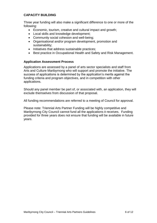## **CAPACITY BUILDING**

Three year funding will also make a significant difference to one or more of the following:

- Economic, tourism, creative and cultural impact and growth;
- Local skills and knowledge development:
- Community social cohesion and well-being;
- Organisational and/or program development, promotion and sustainability;
- Initiatives that address sustainable practices:
- Best practice in Occupational Health and Safety and Risk Management.

#### <span id="page-5-0"></span>**Application Assessment Process**

Applications are assessed by a panel of arts sector specialists and staff from Arts and Culture Maribyrnong who will support and promote the initiative. The success of applications is determined by the application's merits against the funding criteria and program objectives, and in competition with other applications.

Should any panel member be part of, or associated with, an application, they will exclude themselves from discussion of that proposal.

All funding recommendations are referred to a meeting of Council for approval.

<span id="page-5-1"></span>Please note: Triennial Arts Partner Funding will be highly competitive and Maribyrnong City Council cannot fund all the applications it receives. Funding provided for three years does not ensure that funding will be available in future years.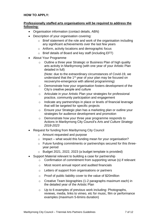## **HOW TO APPLY:**

## **Professionally staffed arts organisations will be required to address the following:**

- Organisation information (contact details, ABN)
- Description of your organisation covering:
	- o Brief statement of the role and work of the organisation including any significant achievements over the last few years
	- o Artform, activity locations and demographic focus
	- o Brief details of Board and key staff (including EFT)
- About Your Programme
	- o Outline a three year Strategic or Business Plan of high quality arts activity in Maribyrnong (with one year of your Artistic Plan detailed in full)

(Note: due to the extraordinary circumstances of Covid-19, we understand that the 1st year of your plan may be focused on recovery/re-emergence with altered programming)

- o Demonstrate how your organisation fosters development of the City's creative people and culture
- o Articulate in your Artistic Plan your strategies for professional practice, community participation and engagement
- o Indicate any partnerships in place or levels of financial leverage that will be targeted for specific projects
- o Ensure your Strategic plan has a marketing plan or outline your strategies for audience development and promotion
- o Demonstrate how your three year programme responds to Actions in Maribyrnong City Council's *Arts and Culture Strategy 2018-2023*
- Request for funding from Maribyrnong City Council
	- o Amount requested and purpose
	- $\circ$  Impact what would this funding mean for your organisation?
	- o Future funding commitments or partnerships secured for this threeyear period
	- o Budget 2021, 2022, 2023 (a budget template is provided)
- Support Material relevant to building a case for partnership
	- o Confirmation of commitment from supporting venue (s) if relevant
	- o Most recent annual report and audited financials
	- o Letters of support from organisations or partners
	- o Proof of public liability cover to the value of \$20million
	- o Creative Team biographies (1-2 paragraphs maximum each) in the detailed year of the Artistic Plan
	- o Up to 6 examples of previous work including: Photographs, reviews, media, links to vimeo, etc for music, film or performance examples (maximum 5-6mins duration)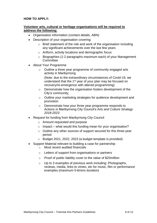# **HOW TO APPLY:**

## **Volunteer arts, cultural or heritage organisations will be required to address the following:**

- Organisation information (contact details, ABN)
- Description of your organisation covering:
	- o Brief statement of the role and work of the organisation including any significant achievements over the last few years
	- o Artform, activity locations and demographic focus
	- o Biographies (1-2 paragraphs maximum each) of your Management Committee
- About Your Programme
	- o Outline a three year programme of community engaged arts activity in Maribyrnong

(Note: due to the extraordinary circumstances of Covid-19, we understand that the 1<sup>st</sup> year of your plan may be focused on recovery/re-emergence with altered programming)

- o Demonstrate how the organisation fosters development of the City's community;
- o Outline your marketing strategies for audience development and promotion
- o Demonstrate how your three year programme responds to Actions in Maribyrnong City Council's *Arts and Culture Strategy 2018-2023*
- Request for funding from Maribyrnong City Council
	- o Amount requested and purpose
	- $\circ$  Impact what would this funding mean for your organisation?
	- o Outline any other sources of support secured for this three-year period
	- o Budget 2021, 2022, 2023 (a budget template is provided)
- Support Material relevant to building a case for partnership o Most recent audited financials
	- o Letters of support from organisations or partners
	- o Proof of public liability cover to the value of \$20million
	- o Up to 3 examples of previous work including: Photographs, reviews, media, links to vimeo, etc for music, film or performance examples (maximum 5-6mins duration)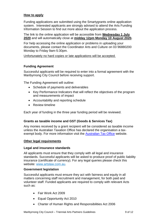## **How to apply**

Funding applications are submitted using the Smartygrants online application system. Interested applicants are strongly advised to attend the Arts Funding Information Session to find out more about the application process.

The link to the online application will be accessible from **Wednesday 1 July 2020** and will automatically close at **midday 12pm Monday 10 August 2020.**

For help accessing the online application or problems in uploading your documents, please contact the Coordinator Arts and Culture on 03 96880200 Monday to Friday 9am-5:30pm.

Unfortunately no hard copies or late applications will be accepted.

## <span id="page-8-0"></span>**Funding Agreement**

Successful applicants will be required to enter into a formal agreement with the Maribyrnong City Council before receiving support.

<span id="page-8-1"></span>The Funding Agreement will outline:

- Schedule of payments and deliverables
- Key Performance Indicators that will reflect the objectives of the program and measurements of impact
- Accountability and reporting schedule
- Review timeline

Each year of funding in the three year funding period will be reviewed.

#### **Grants as taxable income and GST (Goods & Services Tax)**

Any monies received by a grant recipient will be considered as taxable income unless the Australian Taxation Office has declared the organisation a tax-exempt body. For more information visit the [Australian Tax Office](https://www.ato.gov.au/) website.

#### <span id="page-8-2"></span>**Other legal requirements**

#### <span id="page-8-3"></span>**Legal and insurance standards**

<span id="page-8-4"></span>All applicants must ensure that they comply with all legal and insurance standards. Successful applicants will be asked to produce proof of public liability insurance (certificate of currency). For any legal queries please check this website: [www.artslaw.com.au.](file:///C:/Users/sstrano/AppData/Local/Microsoft/Windows/Temporary%20Internet%20Files/Content.Outlook/2NGMWJGY/www.artslaw.com.au)

#### **Government legislation**

Successful applicants must ensure they act with fairness and equity in all matters concerning staff recruitment and management, for both paid and volunteer staff. Funded applicants are required to comply with relevant Acts such as:

- Fair Work Act 2009
- Equal Opportunity Act 2010
- Charter of Human Rights and Responsibilities Act 2006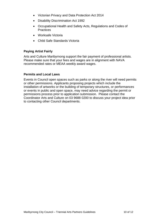- Victorian Privacy and Data Protection Act 2014
- Disability Discrimination Act 1992
- Occupational Health and Safety Acts, Regulations and Codes of **Practices**
- Worksafe Victoria
- Child Safe Standards Victoria

## **Paying Artist Fairly**

Arts and Culture Maribyrnong support the fair payment of professional artists. Please make sure that your fees and wages are in alignment with NAVA recommended rates or MEAA weekly award wages.

## <span id="page-9-0"></span>**Permits and Local Laws**

Events in Council open spaces such as parks or along the river will need permits or other permissions. Applicants proposing projects which include the installation of artworks or the building of temporary structures, or performances or events in public and open space, may need advice regarding the permit or permissions process prior to application submission. Please contact the Coordinator Arts and Culture on 03 9688 0200 to discuss your project idea prior to contacting other Council departments.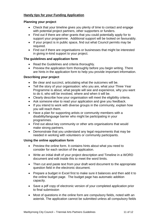# <span id="page-10-0"></span>**Handy tips for your Funding Application**

#### **Planning your project**

- Check that your timeline gives you plenty of time to contact and engage with potential project partners, other supporters or funders.
- Find out if there are other grants that you could potentially apply for to support your programme. Additional support will be looked on favourably.
- If your project is in public space, find out what Council permits may be required.
- Find out if there are organisations or businesses that might be interested in giving in-kind support to your project.

## **The guidelines and application form**

- Read the Guidelines and criteria thoroughly.
- Preview the application form thoroughly before you begin writing. There are hints in the application form to help you provide important information.

#### **Describing your project**

- Be clear and succinct, articulating what the outcomes will be.
- Tell the story of your organisation: who you are, what your Three Year Programme is about, what people will see and experience, why you want to do it, who will be involved, where and when it will be.
- Clearly describe how your organisation will meet the eligibility criteria.
- Ask someone else to read your application and give you feedback.
- If you intend to work with diverse groups in the community, explain how you will reach them.
- Have a plan for supporting artists or community members with a disability/language barrier who might be participating in your programmes.
- Find out about key community or other arts organisations that would make strong partners.
- Demonstrate that you understand any legal requirements that may be needed in working with volunteers or community participants.

#### **Using the online application form**

- Preview the online form. It contains hints about what you need to consider for each section of the application.
- Write an initial draft of your project description and Timeline in a WORD document and edit inside this to meet the word limits.
- Then cut and paste text from your draft word document to the appropriate question field in the electronic document.
- Prepare a budget in Excel first to make sure it balances and then add it to the online budget page. The budget page has automatic addition capacity.
- Save a pdf copy of electronic version of your completed application prior to final submission
- Most of questions in the online form are compulsory fields, noted with an asterisk. The application cannot be submitted unless all compulsory fields